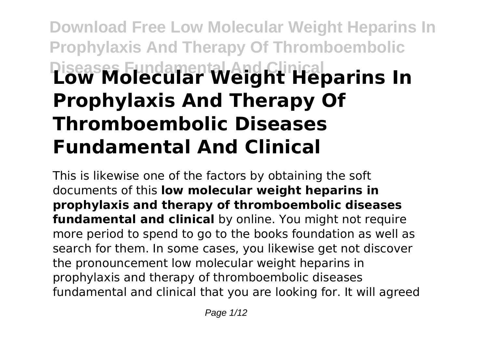# **Download Free Low Molecular Weight Heparins In Prophylaxis And Therapy Of Thromboembolic Diseases Fundamental And Clinical Low Molecular Weight Heparins In Prophylaxis And Therapy Of Thromboembolic Diseases Fundamental And Clinical**

This is likewise one of the factors by obtaining the soft documents of this **low molecular weight heparins in prophylaxis and therapy of thromboembolic diseases fundamental and clinical** by online. You might not require more period to spend to go to the books foundation as well as search for them. In some cases, you likewise get not discover the pronouncement low molecular weight heparins in prophylaxis and therapy of thromboembolic diseases fundamental and clinical that you are looking for. It will agreed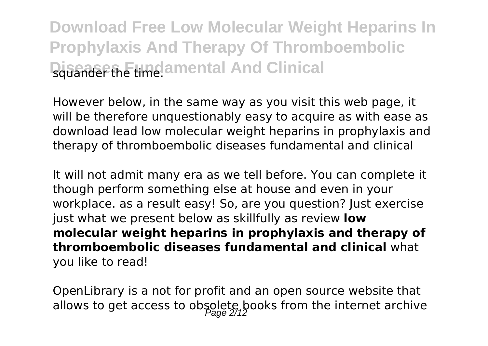However below, in the same way as you visit this web page, it will be therefore unquestionably easy to acquire as with ease as download lead low molecular weight heparins in prophylaxis and therapy of thromboembolic diseases fundamental and clinical

It will not admit many era as we tell before. You can complete it though perform something else at house and even in your workplace. as a result easy! So, are you question? Just exercise just what we present below as skillfully as review **low molecular weight heparins in prophylaxis and therapy of thromboembolic diseases fundamental and clinical** what you like to read!

OpenLibrary is a not for profit and an open source website that allows to get access to obsolete, books from the internet archive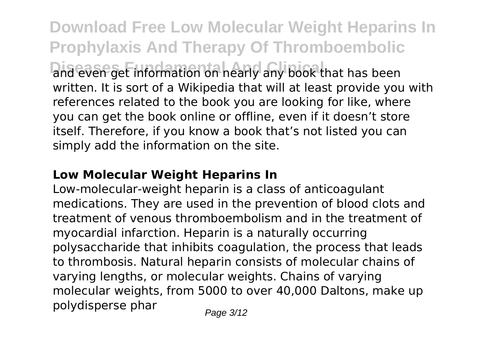**Download Free Low Molecular Weight Heparins In Prophylaxis And Therapy Of Thromboembolic Dideven get information on nearly any book that has been** written. It is sort of a Wikipedia that will at least provide you with references related to the book you are looking for like, where you can get the book online or offline, even if it doesn't store itself. Therefore, if you know a book that's not listed you can simply add the information on the site.

#### **Low Molecular Weight Heparins In**

Low-molecular-weight heparin is a class of anticoagulant medications. They are used in the prevention of blood clots and treatment of venous thromboembolism and in the treatment of myocardial infarction. Heparin is a naturally occurring polysaccharide that inhibits coagulation, the process that leads to thrombosis. Natural heparin consists of molecular chains of varying lengths, or molecular weights. Chains of varying molecular weights, from 5000 to over 40,000 Daltons, make up polydisperse phar  $P_{\text{face } 3/12}$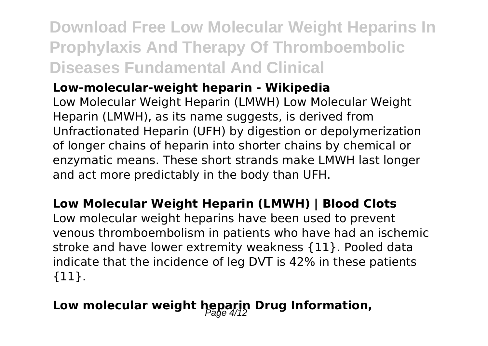#### **Low-molecular-weight heparin - Wikipedia**

Low Molecular Weight Heparin (LMWH) Low Molecular Weight Heparin (LMWH), as its name suggests, is derived from Unfractionated Heparin (UFH) by digestion or depolymerization of longer chains of heparin into shorter chains by chemical or enzymatic means. These short strands make LMWH last longer and act more predictably in the body than UFH.

#### **Low Molecular Weight Heparin (LMWH) | Blood Clots**

Low molecular weight heparins have been used to prevent venous thromboembolism in patients who have had an ischemic stroke and have lower extremity weakness {11}. Pooled data indicate that the incidence of leg DVT is 42% in these patients {11}.

### Low molecular weight heparin Drug Information,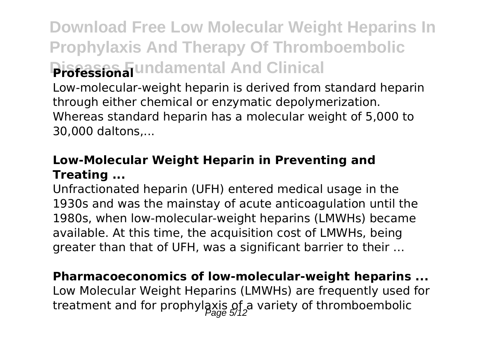Low-molecular-weight heparin is derived from standard heparin through either chemical or enzymatic depolymerization. Whereas standard heparin has a molecular weight of 5,000 to 30,000 daltons,...

#### **Low-Molecular Weight Heparin in Preventing and Treating ...**

Unfractionated heparin (UFH) entered medical usage in the 1930s and was the mainstay of acute anticoagulation until the 1980s, when low-molecular-weight heparins (LMWHs) became available. At this time, the acquisition cost of LMWHs, being greater than that of UFH, was a significant barrier to their …

### **Pharmacoeconomics of low-molecular-weight heparins ...**

Low Molecular Weight Heparins (LMWHs) are frequently used for treatment and for prophylaxis of variety of thromboembolic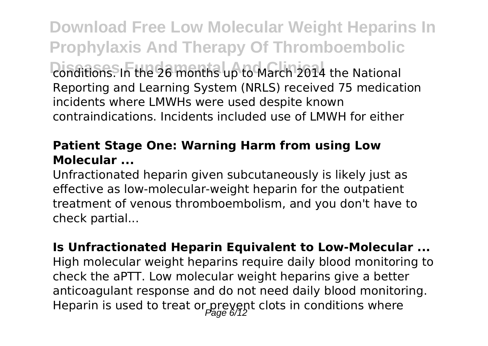**Download Free Low Molecular Weight Heparins In Prophylaxis And Therapy Of Thromboembolic Donditions.** In the 26 months up to March 2014 the National Reporting and Learning System (NRLS) received 75 medication incidents where LMWHs were used despite known contraindications. Incidents included use of LMWH for either

#### **Patient Stage One: Warning Harm from using Low Molecular ...**

Unfractionated heparin given subcutaneously is likely just as effective as low-molecular-weight heparin for the outpatient treatment of venous thromboembolism, and you don't have to check partial...

**Is Unfractionated Heparin Equivalent to Low-Molecular ...** High molecular weight heparins require daily blood monitoring to check the aPTT. Low molecular weight heparins give a better anticoagulant response and do not need daily blood monitoring. Heparin is used to treat or prevent clots in conditions where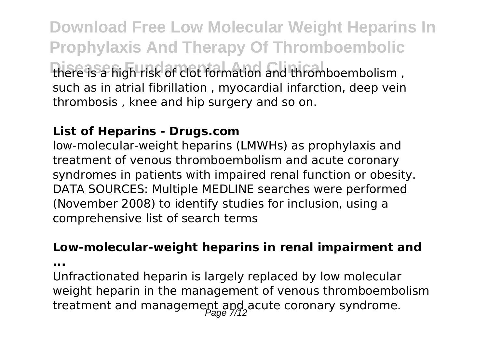**Download Free Low Molecular Weight Heparins In Prophylaxis And Therapy Of Thromboembolic Diseases Fundamental And Clinical** there is a high risk of clot formation and thromboembolism , such as in atrial fibrillation , myocardial infarction, deep vein thrombosis , knee and hip surgery and so on.

#### **List of Heparins - Drugs.com**

low-molecular-weight heparins (LMWHs) as prophylaxis and treatment of venous thromboembolism and acute coronary syndromes in patients with impaired renal function or obesity. DATA SOURCES: Multiple MEDLINE searches were performed (November 2008) to identify studies for inclusion, using a comprehensive list of search terms

#### **Low-molecular-weight heparins in renal impairment and**

**...**

Unfractionated heparin is largely replaced by low molecular weight heparin in the management of venous thromboembolism treatment and management and acute coronary syndrome.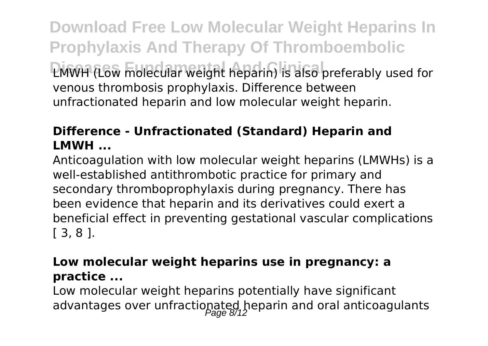**Download Free Low Molecular Weight Heparins In Prophylaxis And Therapy Of Thromboembolic Diseases Fundamental And Clinical** LMWH (Low molecular weight heparin) is also preferably used for venous thrombosis prophylaxis. Difference between unfractionated heparin and low molecular weight heparin.

#### **Difference - Unfractionated (Standard) Heparin and LMWH ...**

Anticoagulation with low molecular weight heparins (LMWHs) is a well-established antithrombotic practice for primary and secondary thromboprophylaxis during pregnancy. There has been evidence that heparin and its derivatives could exert a beneficial effect in preventing gestational vascular complications [ 3, 8 ].

#### **Low molecular weight heparins use in pregnancy: a practice ...**

Low molecular weight heparins potentially have significant advantages over unfractionated heparin and oral anticoagulants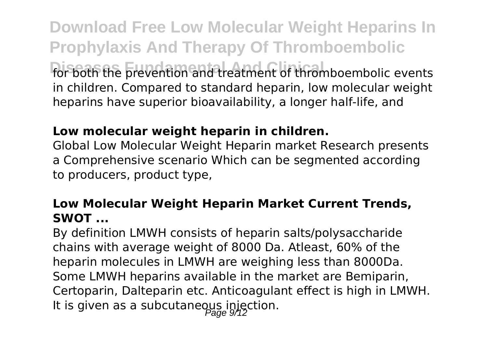**Download Free Low Molecular Weight Heparins In Prophylaxis And Therapy Of Thromboembolic** For both the prevention and treatment of thromboembolic events in children. Compared to standard heparin, low molecular weight heparins have superior bioavailability, a longer half-life, and

#### **Low molecular weight heparin in children.**

Global Low Molecular Weight Heparin market Research presents a Comprehensive scenario Which can be segmented according to producers, product type,

#### **Low Molecular Weight Heparin Market Current Trends, SWOT ...**

By definition LMWH consists of heparin salts/polysaccharide chains with average weight of 8000 Da. Atleast, 60% of the heparin molecules in LMWH are weighing less than 8000Da. Some LMWH heparins available in the market are Bemiparin, Certoparin, Dalteparin etc. Anticoagulant effect is high in LMWH. It is given as a subcutaneous injection.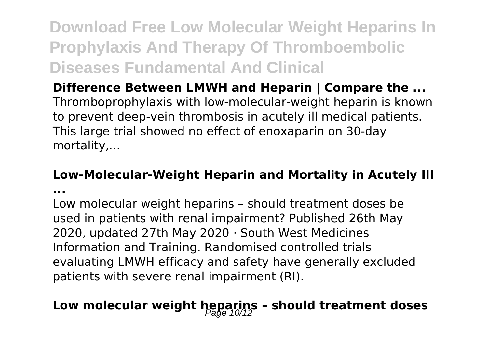### **Difference Between LMWH and Heparin | Compare the ...**

Thromboprophylaxis with low-molecular-weight heparin is known to prevent deep-vein thrombosis in acutely ill medical patients. This large trial showed no effect of enoxaparin on 30-day mortality,...

#### **Low-Molecular-Weight Heparin and Mortality in Acutely Ill**

**...**

Low molecular weight heparins – should treatment doses be used in patients with renal impairment? Published 26th May 2020, updated 27th May 2020 · South West Medicines Information and Training. Randomised controlled trials evaluating LMWH efficacy and safety have generally excluded patients with severe renal impairment (RI).

## Low molecular weight heparins - should treatment doses